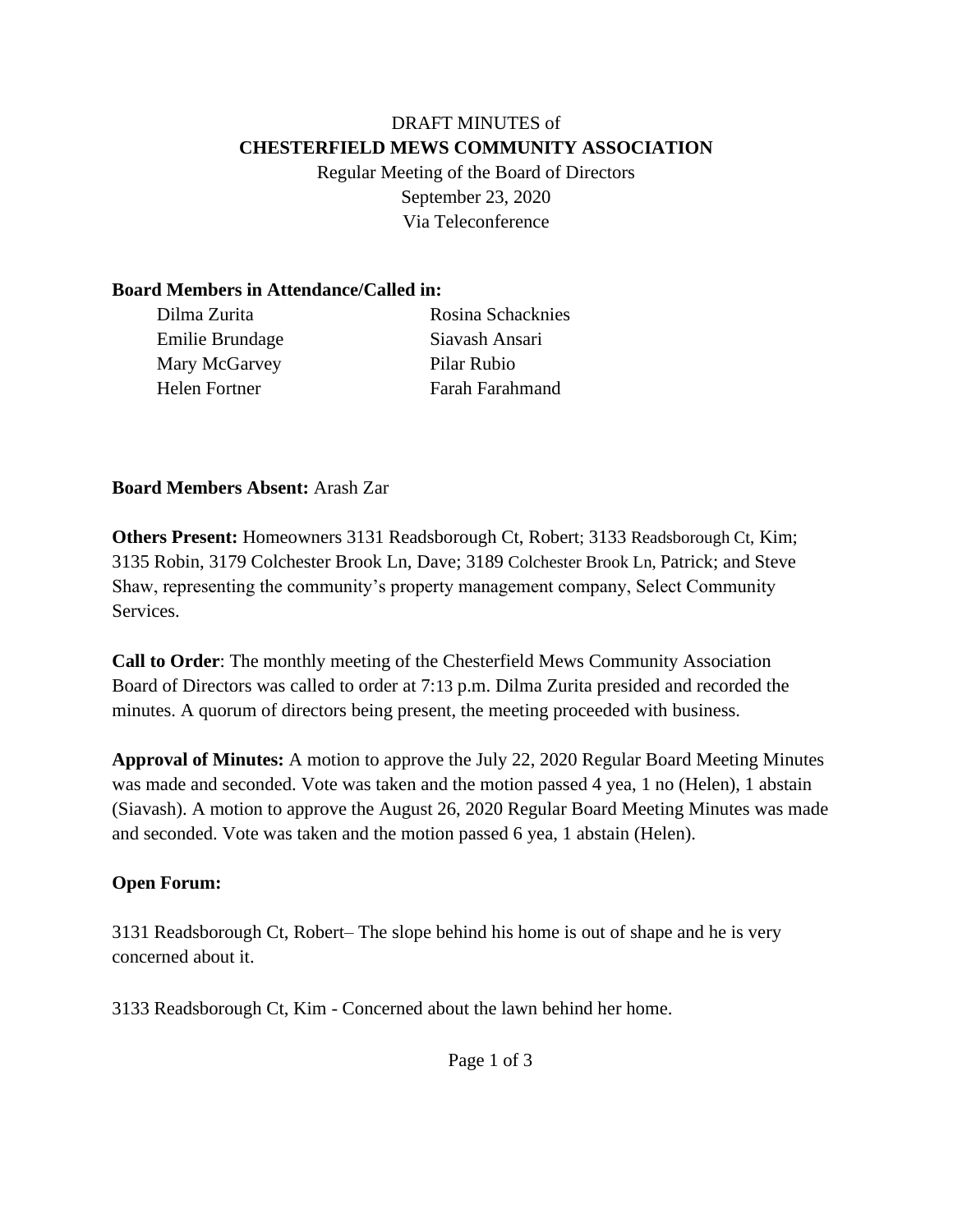### DRAFT MINUTES of **CHESTERFIELD MEWS COMMUNITY ASSOCIATION**

Regular Meeting of the Board of Directors September 23, 2020 Via Teleconference

#### **Board Members in Attendance/Called in:**

| Dilma Zurita    | Rosina Schacknies      |
|-----------------|------------------------|
| Emilie Brundage | Siavash Ansari         |
| Mary McGarvey   | Pilar Rubio            |
| Helen Fortner   | <b>Farah Farahmand</b> |

#### **Board Members Absent:** Arash Zar

**Others Present:** Homeowners 3131 Readsborough Ct, Robert; 3133 Readsborough Ct, Kim; 3135 Robin, 3179 Colchester Brook Ln, Dave; 3189 Colchester Brook Ln, Patrick; and Steve Shaw, representing the community's property management company, Select Community Services.

**Call to Order**: The monthly meeting of the Chesterfield Mews Community Association Board of Directors was called to order at 7:13 p.m. Dilma Zurita presided and recorded the minutes. A quorum of directors being present, the meeting proceeded with business.

**Approval of Minutes:** A motion to approve the July 22, 2020 Regular Board Meeting Minutes was made and seconded. Vote was taken and the motion passed 4 yea, 1 no (Helen), 1 abstain (Siavash). A motion to approve the August 26, 2020 Regular Board Meeting Minutes was made and seconded. Vote was taken and the motion passed 6 yea, 1 abstain (Helen).

#### **Open Forum:**

3131 Readsborough Ct, Robert– The slope behind his home is out of shape and he is very concerned about it.

3133 Readsborough Ct, Kim - Concerned about the lawn behind her home.

Page 1 of 3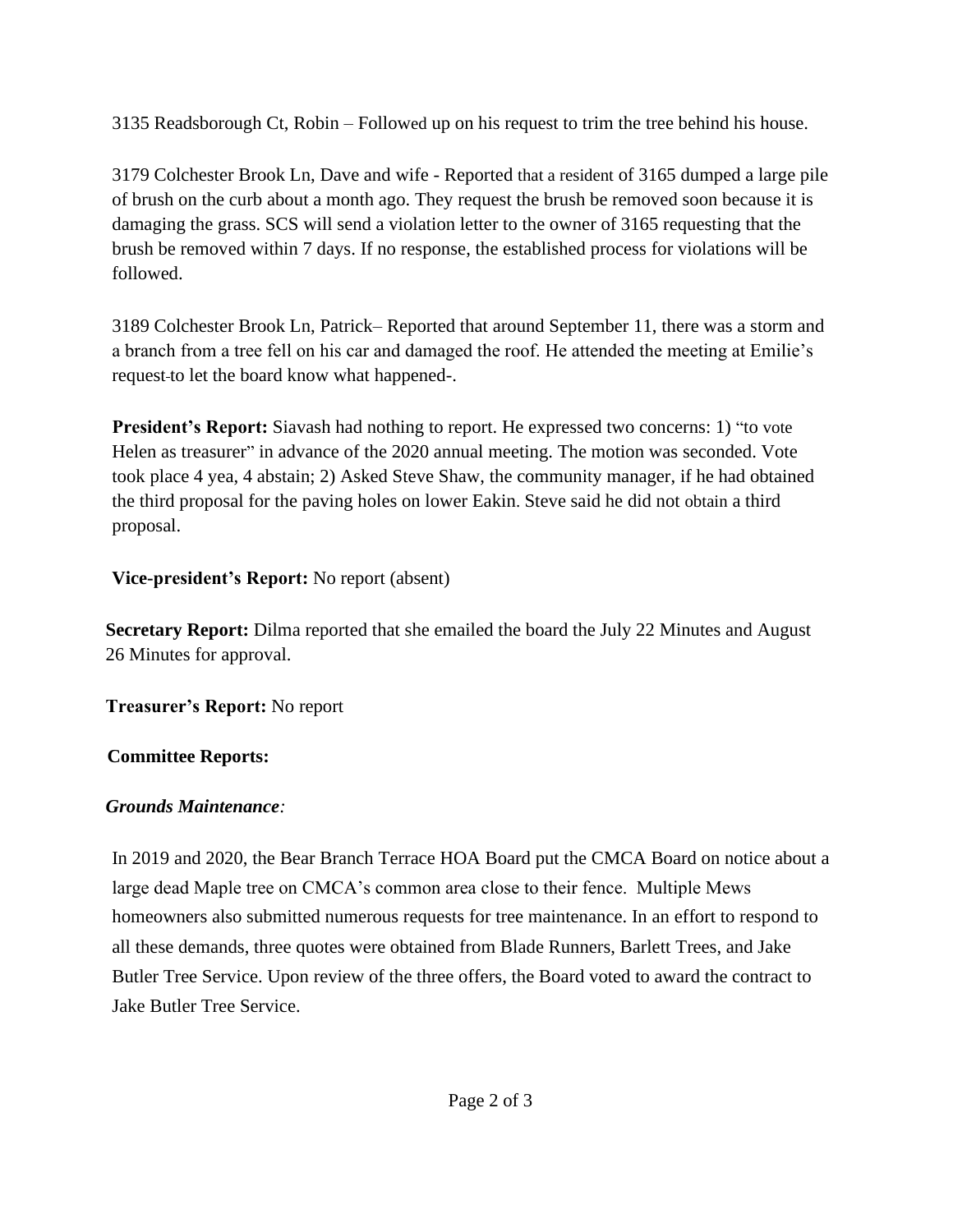3135 Readsborough Ct, Robin – Followed up on his request to trim the tree behind his house.

3179 Colchester Brook Ln, Dave and wife - Reported that a resident of 3165 dumped a large pile of brush on the curb about a month ago. They request the brush be removed soon because it is damaging the grass. SCS will send a violation letter to the owner of 3165 requesting that the brush be removed within 7 days. If no response, the established process for violations will be followed.

3189 Colchester Brook Ln, Patrick– Reported that around September 11, there was a storm and a branch from a tree fell on his car and damaged the roof. He attended the meeting at Emilie's request to let the board know what happened-.

**President's Report:** Siavash had nothing to report. He expressed two concerns: 1) "to vote Helen as treasurer" in advance of the 2020 annual meeting. The motion was seconded. Vote took place 4 yea, 4 abstain; 2) Asked Steve Shaw, the community manager, if he had obtained the third proposal for the paving holes on lower Eakin. Steve said he did not obtain a third proposal.

## **Vice-president's Report:** No report (absent)

**Secretary Report:** Dilma reported that she emailed the board the July 22 Minutes and August 26 Minutes for approval.

**Treasurer's Report:** No report

# **Committee Reports:**

## *Grounds Maintenance:*

In 2019 and 2020, the Bear Branch Terrace HOA Board put the CMCA Board on notice about a large dead Maple tree on CMCA's common area close to their fence. Multiple Mews homeowners also submitted numerous requests for tree maintenance. In an effort to respond to all these demands, three quotes were obtained from Blade Runners, Barlett Trees, and Jake Butler Tree Service. Upon review of the three offers, the Board voted to award the contract to Jake Butler Tree Service.